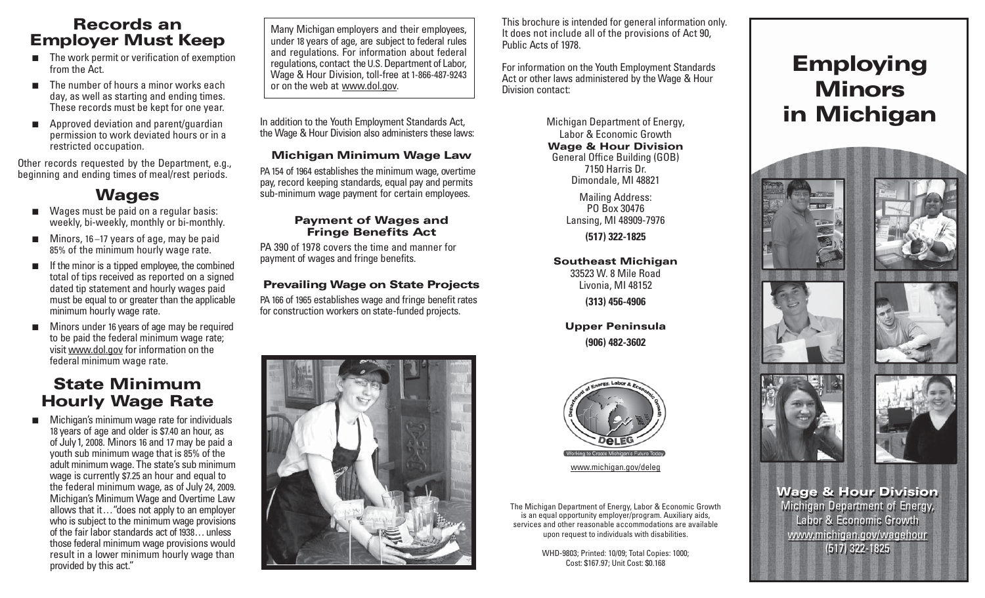### **Records an Employer Must Keep**

- $\blacksquare$  The work permit or verification of exemption from the Act.
- The number of hours a minor works each day, as well as starting and ending times. These records must be kept for one year.
- Approved deviation and parent/guardian permission to work deviated hours or in a restricted occupation.

Other records requested by the Department, e.g., beginning and ending times of meal/rest periods.

### **Wages**

- Wages must be paid on a regular basis: weekly, bi-weekly, monthly or bi-monthly.
- Minors, 16 –17 years of age, may be paid 85 % of the minimum hourly wage rate.
- If the minor is a tipped employee, the combined total of tips received as reported on a signed dated tip statement and hourly wages paid must be equal to or greater than the applicable minimum hourly wage rate.
- ■ Minors under 16 years of age may be required to be paid the federal minimum wage rate; visit www.dol.gov for information on the federal minimum wage rate.

### **State Minimum Hourly Wage Rate**

■ Michigan's minimum wage rate for individuals 18 years of age and older is \$7.40 an hour, as of July 1, 2008. Minors 16 and 17 may be paid a youth sub minimum wage that is 85% of the adult minimum wage. The state's sub minimum wage is currently \$7.25 an hour and equal to the federal minimum wage, as of July 24, 2009. Michigan's Minimum Wage and Overtime Law allows that it... "does not apply to an employer who is subject to the minimum wage provisions of the fair labor standards act of 1938. . . unless those federal minimum wage provisions would result in a lower minimum hourly wage than provided by this act."

Many Michigan employers and their employees, under 18 years of age, are subject to federal rules and regulations. For information about federal regulations, contact the U.S. Department of Labor, Wage & Hour Division, toll-free at 1-866-487-9243 or on the web at www.dol.gov.

In addition to the Youth Employment Standards Act, the Wage & Hour Division also administers these laws:

#### **Michigan Minimum Wage Law**

PA 154 of 1964 establishes the minimum wage, overtime pay, record keeping standards, equal pay and permits sub-minimum wage payment for certain employees.

#### **Payment of Wages and Fringe Benefits Act**

PA 390 of 1978 covers the time and manner for payment of wages and fringe benefits.

#### **Prevailing Wage on State Projects**

PA 166 of 1965 establishes wage and fringe benefit rates for construction workers on state-funded projects.



This brochure is intended for general information only. It does not include all of the provisions of Act 90, Public Acts of 1978.

For information on the Youth Employment Standards Act or other laws administered by the Wage & Hour Division contact:

> Michigan Department of Energy, Labor & Economic Growth**Wage & Hour Division** General Office Building (GOB) 7150 Harris Dr.Dimondale, MI 48821

> > Mailing Address: PO Box 30476Lansing, MI 48909-7976

**(517) 322-1825**

**Southeast Michigan** 33523 W. 8 Mile RoadLivonia, MI 48152

**(313) 456-4906**

**Upper Peninsula (906) 482-3602**



www.michigan.gov/deleg

The Michigan Department of Energy, Labor & Economic Growth is an equal opportunity employer/program. Auxiliary aids, services and other reasonable accommodations are available upon request to individuals with disabilities.

> WHD-9803; Printed: 10/09; Total Copies: 1000; Cost: \$167.97; Unit Cost: \$0.168

# **Employing Minorsin Michigan**